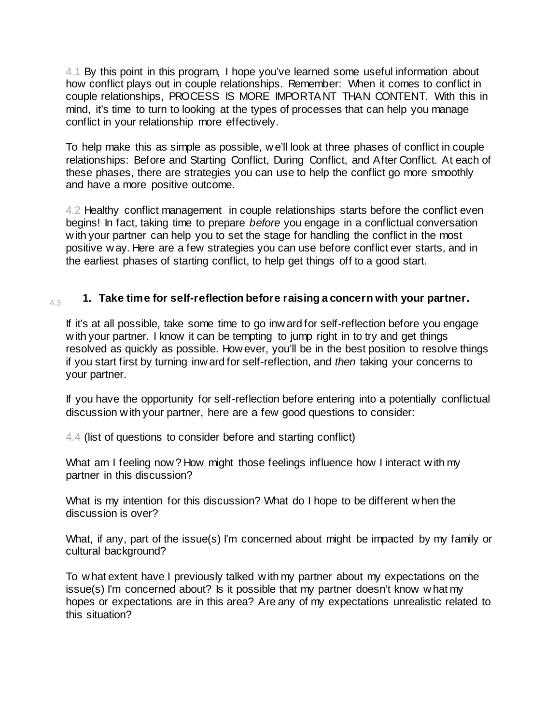4.1 By this point in this program, I hope you've learned some useful information about how conflict plays out in couple relationships. Remember: When it comes to conflict in couple relationships, PROCESS IS MORE IMPORTANT THAN CONTENT. With this in mind, it's time to turn to looking at the types of processes that can help you manage conflict in your relationship more effectively.

To help make this as simple as possible, w e'll look at three phases of conflict in couple relationships: Before and Starting Conflict, During Conflict, and After Conflict. At each of these phases, there are strategies you can use to help the conflict go more smoothly and have a more positive outcome.

4.2 Healthy conflict management in couple relationships starts before the conflict even begins! In fact, taking time to prepare *before* you engage in a conflictual conversation w ith your partner can help you to set the stage for handling the conflict in the most positive w ay. Here are a few strategies you can use before conflict ever starts, and in the earliest phases of starting conflict, to help get things off to a good start.

### 4.3 **1. Take time for self-reflection before raising a concern with your partner.**

If it's at all possible, take some time to go inw ard for self-reflection before you engage w ith your partner. I know it can be tempting to jump right in to try and get things resolved as quickly as possible. How ever, you'll be in the best position to resolve things if you start first by turning inw ard for self-reflection, and *then* taking your concerns to your partner.

If you have the opportunity for self-reflection before entering into a potentially conflictual discussion w ith your partner, here are a few good questions to consider:

4.4 (list of questions to consider before and starting conflict)

What am I feeling now? How might those feelings influence how I interact with my partner in this discussion?

What is my intention for this discussion? What do I hope to be different w hen the discussion is over?

What, if any, part of the issue(s) I'm concerned about might be impacted by my family or cultural background?

To w hat extent have I previously talked w ith my partner about my expectations on the issue(s) I'm concerned about? Is it possible that my partner doesn't know w hat my hopes or expectations are in this area? Are any of my expectations unrealistic related to this situation?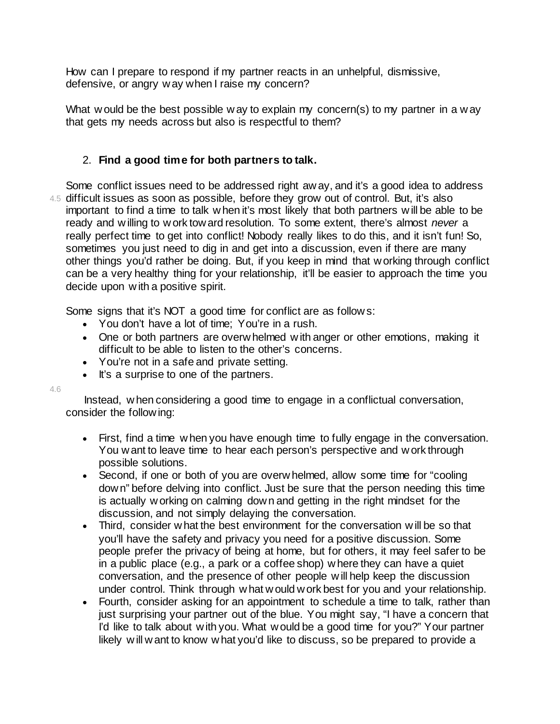How can I prepare to respond if my partner reacts in an unhelpful, dismissive, defensive, or angry w ay when I raise my concern?

What w ould be the best possible w ay to explain my concern(s) to my partner in a w ay that gets my needs across but also is respectful to them?

# 2. **Find a good time for both partners to talk.**

4.5 difficult issues as soon as possible, before they grow out of control. But, it's also Some conflict issues need to be addressed right aw ay, and it's a good idea to address important to find a time to talk w hen it's most likely that both partners w ill be able to be ready and w illing to w ork tow ard resolution. To some extent, there's almost *never* a really perfect time to get into conflict! Nobody really likes to do this, and it isn't fun! So, sometimes you just need to dig in and get into a discussion, even if there are many other things you'd rather be doing. But, if you keep in mind that w orking through conflict can be a very healthy thing for your relationship, it'll be easier to approach the time you decide upon w ith a positive spirit.

Some signs that it's NOT a good time for conflict are as follow s:

- You don't have a lot of time; You're in a rush.
- One or both partners are overw helmed w ith anger or other emotions, making it difficult to be able to listen to the other's concerns.
- You're not in a safe and private setting.
- It's a surprise to one of the partners.

4.6

Instead, w hen considering a good time to engage in a conflictual conversation, consider the follow ing:

- First, find a time w hen you have enough time to fully engage in the conversation. You w ant to leave time to hear each person's perspective and w ork through possible solutions.
- Second, if one or both of you are overw helmed, allow some time for "cooling" dow n" before delving into conflict. Just be sure that the person needing this time is actually w orking on calming dow n and getting in the right mindset for the discussion, and not simply delaying the conversation.
- Third, consider w hat the best environment for the conversation w ill be so that you'll have the safety and privacy you need for a positive discussion. Some people prefer the privacy of being at home, but for others, it may feel safer to be in a public place (e.g., a park or a coffee shop) w here they can have a quiet conversation, and the presence of other people w ill help keep the discussion under control. Think through w hat w ould w ork best for you and your relationship.
- Fourth, consider asking for an appointment to schedule a time to talk, rather than just surprising your partner out of the blue. You might say, "I have a concern that I'd like to talk about w ith you. What w ould be a good time for you?" Your partner likely w ill w ant to know w hat you'd like to discuss, so be prepared to provide a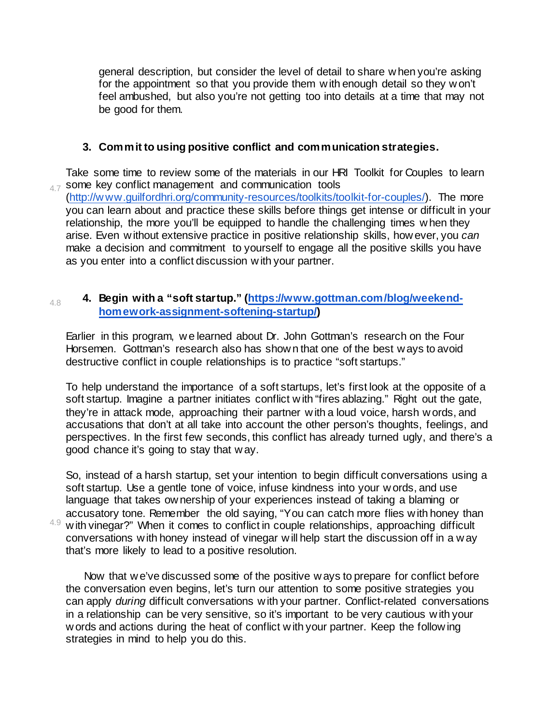general description, but consider the level of detail to share w hen you're asking for the appointment so that you provide them w ith enough detail so they w on't feel ambushed, but also you're not getting too into details at a time that may not be good for them.

# **3. Commit to using positive conflict and communication strategies.**

4.7 some key conflict management and communication tools Take some time to review some of the materials in our HRI Toolkit for Couples to learn [\(http://w ww.guilfordhri.org/community-resources/toolkits/toolkit-for-couples/\).](http://www.guilfordhri.org/community-resources/toolkits/toolkit-for-couples/) The more you can learn about and practice these skills before things get intense or difficult in your relationship, the more you'll be equipped to handle the challenging times when they arise. Even w ithout extensive practice in positive relationship skills, how ever, you *can*  make a decision and commitment to yourself to engage all the positive skills you have as you enter into a conflict discussion w ith your partner.

### 4.8 **4. Begin with a "soft startup." [\(https://www.gottman.com/blog/weekend](https://www.gottman.com/blog/weekend-homework-assignment-softening-startup/)[homework-assignment-softening-startup/\)](https://www.gottman.com/blog/weekend-homework-assignment-softening-startup/)**

Earlier in this program, w e learned about Dr. John Gottman's research on the Four Horsemen. Gottman's research also has show n that one of the best w ays to avoid destructive conflict in couple relationships is to practice "soft startups."

To help understand the importance of a soft startups, let's first look at the opposite of a soft startup. Imagine a partner initiates conflict w ith "fires ablazing." Right out the gate, they're in attack mode, approaching their partner w ith a loud voice, harsh w ords, and accusations that don't at all take into account the other person's thoughts, feelings, and perspectives. In the first few seconds, this conflict has already turned ugly, and there's a good chance it's going to stay that w ay.

So, instead of a harsh startup, set your intention to begin difficult conversations using a soft startup. Use a gentle tone of voice, infuse kindness into your w ords, and use language that takes ow nership of your experiences instead of taking a blaming or accusatory tone. Remember the old saying, "You can catch more flies w ith honey than  $4.9$  with vinegar?" When it comes to conflict in couple relationships, approaching difficult conversations w ith honey instead of vinegar w ill help start the discussion off in a w ay that's more likely to lead to a positive resolution.

Now that w e've discussed some of the positive w ays to prepare for conflict before the conversation even begins, let's turn our attention to some positive strategies you can apply *during* difficult conversations w ith your partner. Conflict-related conversations in a relationship can be very sensitive, so it's important to be very cautious w ith your w ords and actions during the heat of conflict w ith your partner. Keep the follow ing strategies in mind to help you do this.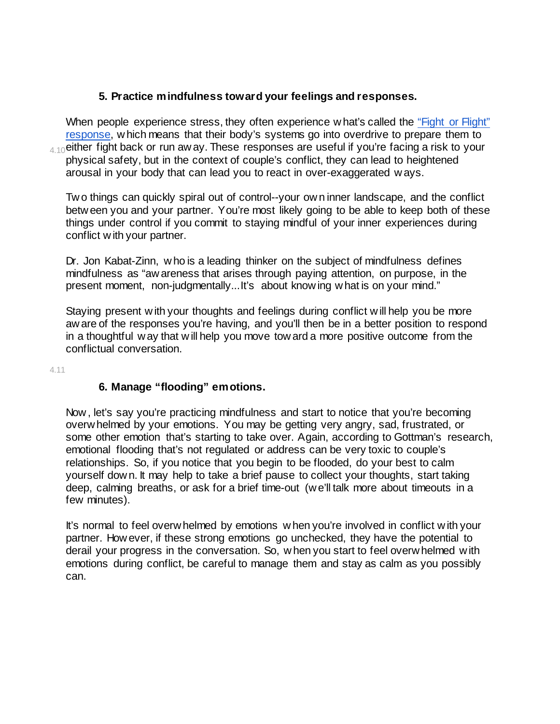### **5. Practice mindfulness toward your feelings and responses.**

 $_{\rm 4.10}$ either fight back or run aw ay. These responses are useful if you're facing a risk to your When people experience stress, they often experience w hat's called the "Fight or Flight" [response,](http://www.health.harvard.edu/staying-healthy/understanding-the-stress-response) w hich means that their body's systems go into overdrive to prepare them to physical safety, but in the context of couple's conflict, they can lead to heightened arousal in your body that can lead you to react in over-exaggerated w ays.

Tw o things can quickly spiral out of control--your ow n inner landscape, and the conflict betw een you and your partner. You're most likely going to be able to keep both of these things under control if you commit to staying mindful of your inner experiences during conflict w ith your partner.

Dr. Jon Kabat-Zinn, w ho is a leading thinker on the subject of mindfulness defines mindfulness as "aw areness that arises through paying attention, on purpose, in the present moment, non-judgmentally...It's about know ing w hat is on your mind."

Staying present w ith your thoughts and feelings during conflict w ill help you be more aw are of the responses you're having, and you'll then be in a better position to respond in a thoughtful w ay that w ill help you move tow ard a more positive outcome from the conflictual conversation.

4.11

# **6. Manage "flooding" emotions.**

Now , let's say you're practicing mindfulness and start to notice that you're becoming overw helmed by your emotions. You may be getting very angry, sad, frustrated, or some other emotion that's starting to take over. Again, according to Gottman's research, emotional flooding that's not regulated or address can be very toxic to couple's relationships. So, if you notice that you begin to be flooded, do your best to calm yourself dow n. It may help to take a brief pause to collect your thoughts, start taking deep, calming breaths, or ask for a brief time-out (w e'll talk more about timeouts in a few minutes).

It's normal to feel overw helmed by emotions w hen you're involved in conflict w ith your partner. How ever, if these strong emotions go unchecked, they have the potential to derail your progress in the conversation. So, w hen you start to feel overw helmed w ith emotions during conflict, be careful to manage them and stay as calm as you possibly can.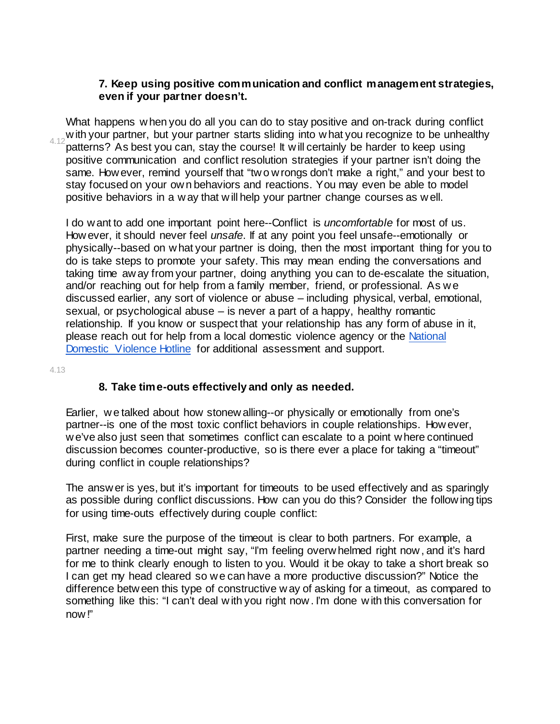#### **7. Keep using positive communication and conflict management strategies, even if your partner doesn't.**

w ith your partner, but your partner starts sliding into what you recognize to be unhealthy  $4.12$  patterns? As best you can atout be equiped that if  $\mu$  will certainly be bester to keep young. What happens w hen you do all you can do to stay positive and on-track during conflict patterns? As best you can, stay the course! It w ill certainly be harder to keep using positive communication and conflict resolution strategies if your partner isn't doing the same. How ever, remind yourself that "tw o w rongs don't make a right," and your best to stay focused on your ow n behaviors and reactions. You may even be able to model positive behaviors in a w ay that w ill help your partner change courses as w ell.

I do w ant to add one important point here--Conflict is *uncomfortable* for most of us. How ever, it should never feel *unsafe*. If at any point you feel unsafe--emotionally or physically--based on w hat your partner is doing, then the most important thing for you to do is take steps to promote your safety. This may mean ending the conversations and taking time aw ay from your partner, doing anything you can to de-escalate the situation, and/or reaching out for help from a family member, friend, or professional. As w e discussed earlier, any sort of violence or abuse – including physical, verbal, emotional, sexual, or psychological abuse – is never a part of a happy, healthy romantic relationship. If you know or suspect that your relationship has any form of abuse in it, please reach out for help from a local domestic violence agency or the [National](http://www.thehotline.org/)  [Domestic Violence Hotline](http://www.thehotline.org/) for additional assessment and support.

4.13

#### **8. Take time-outs effectively and only as needed.**

Earlier, w e talked about how stonew alling--or physically or emotionally from one's partner--is one of the most toxic conflict behaviors in couple relationships. How ever, w e've also just seen that sometimes conflict can escalate to a point w here continued discussion becomes counter-productive, so is there ever a place for taking a "timeout" during conflict in couple relationships?

The answ er is yes, but it's important for timeouts to be used effectively and as sparingly as possible during conflict discussions. How can you do this? Consider the follow ing tips for using time-outs effectively during couple conflict:

First, make sure the purpose of the timeout is clear to both partners. For example, a partner needing a time-out might say, "I'm feeling overw helmed right now , and it's hard for me to think clearly enough to listen to you. Would it be okay to take a short break so I can get my head cleared so w e can have a more productive discussion?" Notice the difference betw een this type of constructive w ay of asking for a timeout, as compared to something like this: "I can't deal w ith you right now. I'm done with this conversation for now !"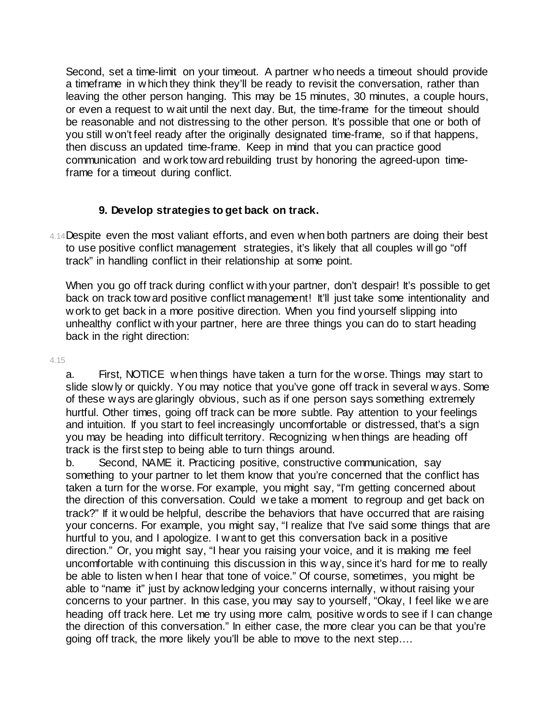Second, set a time-limit on your timeout. A partner w ho needs a timeout should provide a timeframe in w hich they think they'll be ready to revisit the conversation, rather than leaving the other person hanging. This may be 15 minutes, 30 minutes, a couple hours, or even a request to w ait until the next day. But, the time-frame for the timeout should be reasonable and not distressing to the other person. It's possible that one or both of you still w on't feel ready after the originally designated time-frame, so if that happens, then discuss an updated time-frame. Keep in mind that you can practice good communication and w ork tow ard rebuilding trust by honoring the agreed-upon timeframe for a timeout during conflict.

### **9. Develop strategies to get back on track.**

4.14 Despite even the most valiant efforts, and even w hen both partners are doing their best to use positive conflict management strategies, it's likely that all couples w ill go "off track" in handling conflict in their relationship at some point.

When you go off track during conflict with your partner, don't despair! It's possible to get back on track tow ard positive conflict management! It'll just take some intentionality and w ork to get back in a more positive direction. When you find yourself slipping into unhealthy conflict w ith your partner, here are three things you can do to start heading back in the right direction:

4.15

a. First, NOTICE w hen things have taken a turn for the w orse. Things may start to slide slow ly or quickly. You may notice that you've gone off track in several w ays. Some of these w ays are glaringly obvious, such as if one person says something extremely hurtful. Other times, going off track can be more subtle. Pay attention to your feelings and intuition. If you start to feel increasingly uncomfortable or distressed, that's a sign you may be heading into difficult territory. Recognizing w hen things are heading off track is the first step to being able to turn things around.

b. Second, NAME it. Practicing positive, constructive communication, say something to your partner to let them know that you're concerned that the conflict has taken a turn for the w orse. For example, you might say, "I'm getting concerned about the direction of this conversation. Could w e take a moment to regroup and get back on track?" If it w ould be helpful, describe the behaviors that have occurred that are raising your concerns. For example, you might say, "I realize that I've said some things that are hurtful to you, and I apologize. I w ant to get this conversation back in a positive direction." Or, you might say, "I hear you raising your voice, and it is making me feel uncomfortable w ith continuing this discussion in this w ay, since it's hard for me to really be able to listen w hen I hear that tone of voice." Of course, sometimes, you might be able to "name it" just by acknow ledging your concerns internally, w ithout raising your concerns to your partner. In this case, you may say to yourself, "Okay, I feel like w e are heading off track here. Let me try using more calm, positive w ords to see if I can change the direction of this conversation." In either case, the more clear you can be that you're going off track, the more likely you'll be able to move to the next step….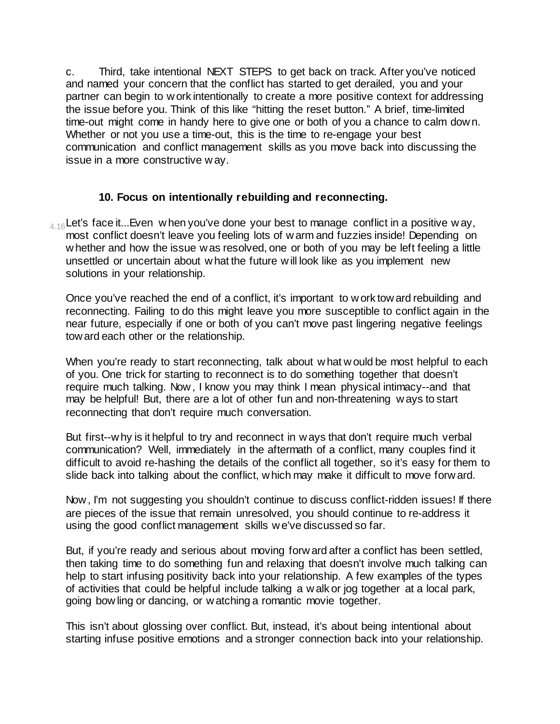c. Third, take intentional NEXT STEPS to get back on track. After you've noticed and named your concern that the conflict has started to get derailed, you and your partner can begin to w ork intentionally to create a more positive context for addressing the issue before you. Think of this like "hitting the reset button." A brief, time-limited time-out might come in handy here to give one or both of you a chance to calm dow n. Whether or not you use a time-out, this is the time to re-engage your best communication and conflict management skills as you move back into discussing the issue in a more constructive w ay.

### **10. Focus on intentionally rebuilding and reconnecting.**

 $_{4.16}$ Let's face it...Even when you've done your best to manage conflict in a positive way, most conflict doesn't leave you feeling lots of w arm and fuzzies inside! Depending on w hether and how the issue w as resolved, one or both of you may be left feeling a little unsettled or uncertain about w hat the future w ill look like as you implement new solutions in your relationship.

Once you've reached the end of a conflict, it's important to w ork tow ard rebuilding and reconnecting. Failing to do this might leave you more susceptible to conflict again in the near future, especially if one or both of you can't move past lingering negative feelings tow ard each other or the relationship.

When you're ready to start reconnecting, talk about w hat w ould be most helpful to each of you. One trick for starting to reconnect is to do something together that doesn't require much talking. Now , I know you may think I mean physical intimacy--and that may be helpful! But, there are a lot of other fun and non-threatening w ays to start reconnecting that don't require much conversation.

But first--w hy is it helpful to try and reconnect in w ays that don't require much verbal communication? Well, immediately in the aftermath of a conflict, many couples find it difficult to avoid re-hashing the details of the conflict all together, so it's easy for them to slide back into talking about the conflict, w hich may make it difficult to move forw ard.

Now , I'm not suggesting you shouldn't continue to discuss conflict-ridden issues! If there are pieces of the issue that remain unresolved, you should continue to re-address it using the good conflict management skills w e've discussed so far.

But, if you're ready and serious about moving forw ard after a conflict has been settled, then taking time to do something fun and relaxing that doesn't involve much talking can help to start infusing positivity back into your relationship. A few examples of the types of activities that could be helpful include talking a w alk or jog together at a local park, going bow ling or dancing, or w atching a romantic movie together.

This isn't about glossing over conflict. But, instead, it's about being intentional about starting infuse positive emotions and a stronger connection back into your relationship.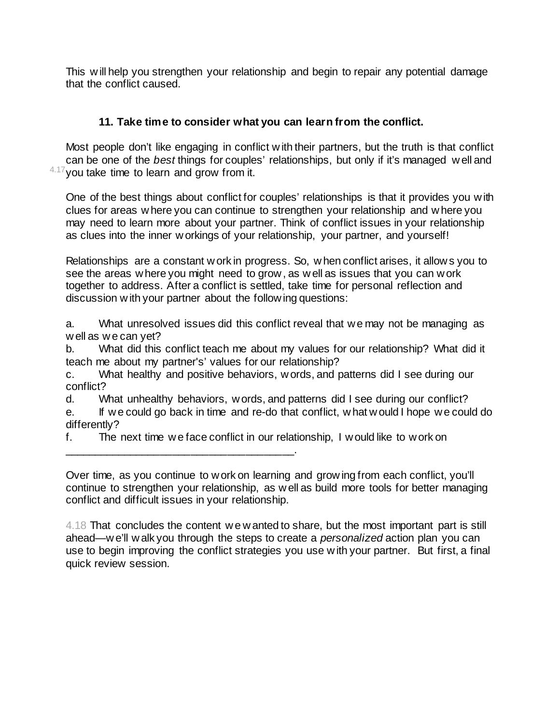This w ill help you strengthen your relationship and begin to repair any potential damage that the conflict caused.

# **11. Take time to consider what you can learn from the conflict.**

 $4.17$  you take time to learn and grow from it. Most people don't like engaging in conflict w ith their partners, but the truth is that conflict can be one of the *best* things for couples' relationships, but only if it's managed w ell and

One of the best things about conflict for couples' relationships is that it provides you w ith clues for areas w here you can continue to strengthen your relationship and w here you may need to learn more about your partner. Think of conflict issues in your relationship as clues into the inner w orkings of your relationship, your partner, and yourself!

Relationships are a constant w ork in progress. So, w hen conflict arises, it allow s you to see the areas w here you might need to grow , as w ell as issues that you can w ork together to address. After a conflict is settled, take time for personal reflection and discussion w ith your partner about the follow ing questions:

a. What unresolved issues did this conflict reveal that w e may not be managing as w ell as w e can yet?

b. What did this conflict teach me about my values for our relationship? What did it teach me about my partner's' values for our relationship?

c. What healthy and positive behaviors, w ords, and patterns did I see during our conflict?

d. What unhealthy behaviors, w ords, and patterns did I see during our conflict?

e. If w e could go back in time and re-do that conflict, w hat w ould I hope w e could do differently?

f. The next time w e face conflict in our relationship, I w ould like to w ork on

\_\_\_\_\_\_\_\_\_\_\_\_\_\_\_\_\_\_\_\_\_\_\_\_\_\_\_\_\_\_\_\_\_\_\_\_\_\_.

Over time, as you continue to w ork on learning and grow ing from each conflict, you'll continue to strengthen your relationship, as w ell as build more tools for better managing conflict and difficult issues in your relationship.

4.18 That concludes the content w e w anted to share, but the most important part is still ahead—w e'll w alk you through the steps to create a *personalized* action plan you can use to begin improving the conflict strategies you use w ith your partner. But first, a final quick review session.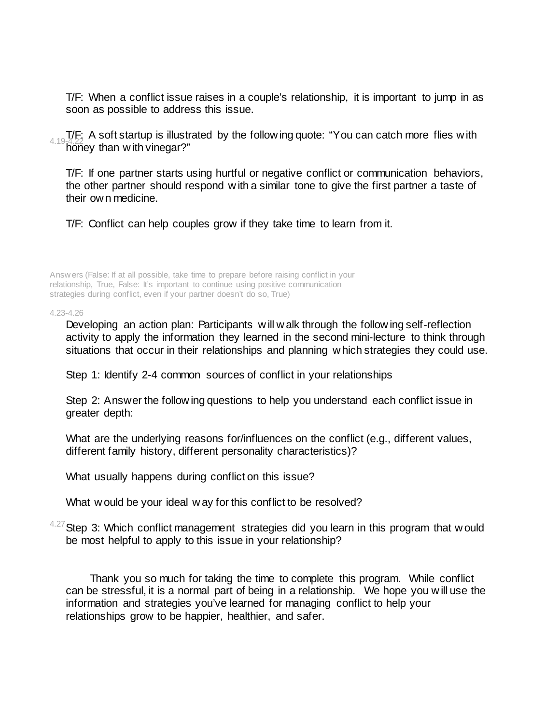T/F: When a conflict issue raises in a couple's relationship, it is important to jump in as soon as possible to address this issue.

4.19-4.22 A soft startup is illustrated by the follow ing quote: "You can catch more flies w ith  $4.19-4.22$ honey than with vinegar?"

T/F: If one partner starts using hurtful or negative conflict or communication behaviors, the other partner should respond w ith a similar tone to give the first partner a taste of their ow n medicine.

T/F: Conflict can help couples grow if they take time to learn from it.

Answ ers (False: If at all possible, take time to prepare before raising conflict in your relationship, True, False: It's important to continue using positive communication strategies during conflict, even if your partner doesn't do so, True)

4.23-4.26

Developing an action plan: Participants w ill w alk through the follow ing self-reflection activity to apply the information they learned in the second mini-lecture to think through situations that occur in their relationships and planning w hich strategies they could use.

Step 1: Identify 2-4 common sources of conflict in your relationships

Step 2: Answer the follow ing questions to help you understand each conflict issue in greater depth:

What are the underlying reasons for/influences on the conflict (e.g., different values, different family history, different personality characteristics)?

What usually happens during conflict on this issue?

What w ould be your ideal w ay for this conflict to be resolved?

 $4.27$  Step 3: Which conflict management strategies did you learn in this program that w ould be most helpful to apply to this issue in your relationship?

Thank you so much for taking the time to complete this program. While conflict can be stressful, it is a normal part of being in a relationship. We hope you w ill use the information and strategies you've learned for managing conflict to help your relationships grow to be happier, healthier, and safer.